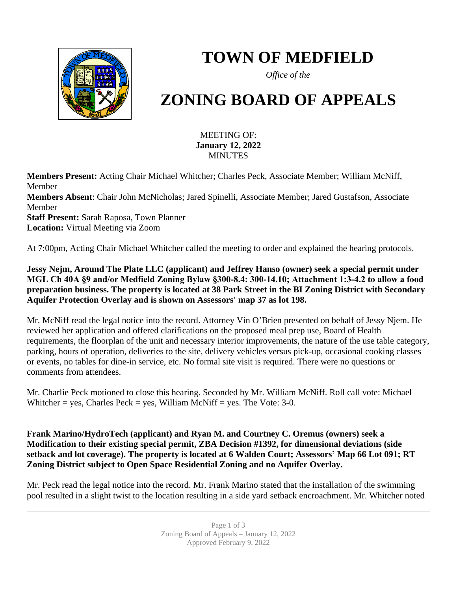

## **TOWN OF MEDFIELD**

*Office of the*

# **ZONING BOARD OF APPEALS**

#### MEETING OF: **January 12, 2022** MINUTES

**Members Present:** Acting Chair Michael Whitcher; Charles Peck, Associate Member; William McNiff, Member **Members Absent**: Chair John McNicholas; Jared Spinelli, Associate Member; Jared Gustafson, Associate Member **Staff Present:** Sarah Raposa, Town Planner **Location:** Virtual Meeting via Zoom

At 7:00pm, Acting Chair Michael Whitcher called the meeting to order and explained the hearing protocols.

**Jessy Nejm, Around The Plate LLC (applicant) and Jeffrey Hanso (owner) seek a special permit under MGL Ch 40A §9 and/or Medfield Zoning Bylaw §300-8.4: 300-14.10; Attachment 1:3-4.2 to allow a food preparation business. The property is located at 38 Park Street in the BI Zoning District with Secondary Aquifer Protection Overlay and is shown on Assessors' map 37 as lot 198.**

Mr. McNiff read the legal notice into the record. Attorney Vin O'Brien presented on behalf of Jessy Njem. He reviewed her application and offered clarifications on the proposed meal prep use, Board of Health requirements, the floorplan of the unit and necessary interior improvements, the nature of the use table category, parking, hours of operation, deliveries to the site, delivery vehicles versus pick-up, occasional cooking classes or events, no tables for dine-in service, etc. No formal site visit is required. There were no questions or comments from attendees.

Mr. Charlie Peck motioned to close this hearing. Seconded by Mr. William McNiff. Roll call vote: Michael Whitcher = yes, Charles Peck = yes, William McNiff = yes. The Vote:  $3-0$ .

**Frank Marino/HydroTech (applicant) and Ryan M. and Courtney C. Oremus (owners) seek a Modification to their existing special permit, ZBA Decision #1392, for dimensional deviations (side setback and lot coverage). The property is located at 6 Walden Court; Assessors' Map 66 Lot 091; RT Zoning District subject to Open Space Residential Zoning and no Aquifer Overlay.**

Mr. Peck read the legal notice into the record. Mr. Frank Marino stated that the installation of the swimming pool resulted in a slight twist to the location resulting in a side yard setback encroachment. Mr. Whitcher noted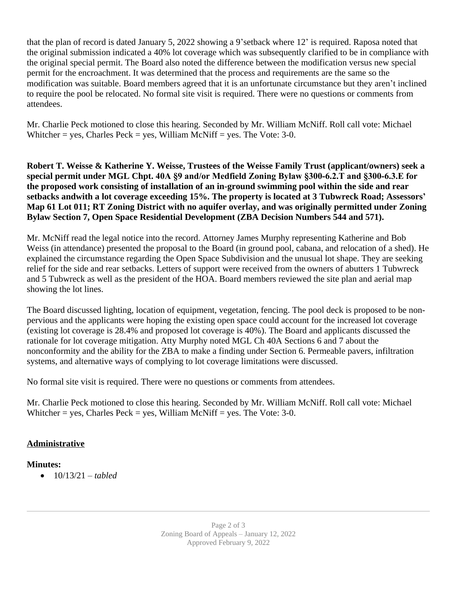that the plan of record is dated January 5, 2022 showing a 9'setback where 12' is required. Raposa noted that the original submission indicated a 40% lot coverage which was subsequently clarified to be in compliance with the original special permit. The Board also noted the difference between the modification versus new special permit for the encroachment. It was determined that the process and requirements are the same so the modification was suitable. Board members agreed that it is an unfortunate circumstance but they aren't inclined to require the pool be relocated. No formal site visit is required. There were no questions or comments from attendees.

Mr. Charlie Peck motioned to close this hearing. Seconded by Mr. William McNiff. Roll call vote: Michael Whitcher = yes, Charles Peck = yes, William McNiff = yes. The Vote:  $3-0$ .

**Robert T. Weisse & Katherine Y. Weisse, Trustees of the Weisse Family Trust (applicant/owners) seek a special permit under MGL Chpt. 40A §9 and/or Medfield Zoning Bylaw §300-6.2.T and §300-6.3.E for the proposed work consisting of installation of an in-ground swimming pool within the side and rear setbacks andwith a lot coverage exceeding 15%. The property is located at 3 Tubwreck Road; Assessors' Map 61 Lot 011; RT Zoning District with no aquifer overlay, and was originally permitted under Zoning Bylaw Section 7, Open Space Residential Development (ZBA Decision Numbers 544 and 571).**

Mr. McNiff read the legal notice into the record. Attorney James Murphy representing Katherine and Bob Weiss (in attendance) presented the proposal to the Board (in ground pool, cabana, and relocation of a shed). He explained the circumstance regarding the Open Space Subdivision and the unusual lot shape. They are seeking relief for the side and rear setbacks. Letters of support were received from the owners of abutters 1 Tubwreck and 5 Tubwreck as well as the president of the HOA. Board members reviewed the site plan and aerial map showing the lot lines.

The Board discussed lighting, location of equipment, vegetation, fencing. The pool deck is proposed to be nonpervious and the applicants were hoping the existing open space could account for the increased lot coverage (existing lot coverage is 28.4% and proposed lot coverage is 40%). The Board and applicants discussed the rationale for lot coverage mitigation. Atty Murphy noted MGL Ch 40A Sections 6 and 7 about the nonconformity and the ability for the ZBA to make a finding under Section 6. Permeable pavers, infiltration systems, and alternative ways of complying to lot coverage limitations were discussed.

No formal site visit is required. There were no questions or comments from attendees.

Mr. Charlie Peck motioned to close this hearing. Seconded by Mr. William McNiff. Roll call vote: Michael Whitcher = yes, Charles Peck = yes, William McNiff = yes. The Vote:  $3-0$ .

#### **Administrative**

#### **Minutes:**

 $\bullet$  10/13/21 – *tabled*